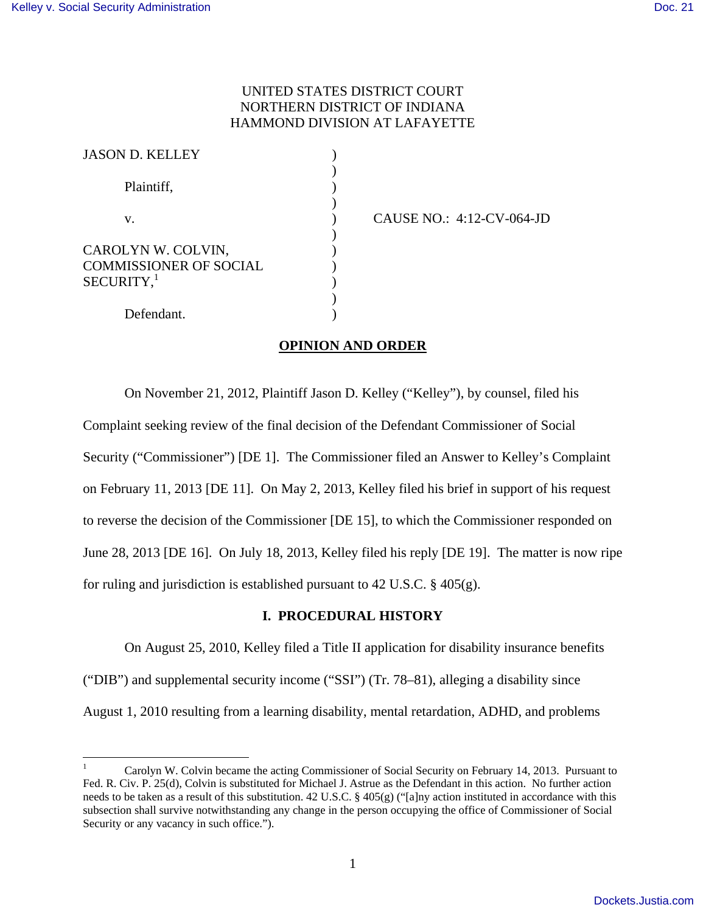# UNITED STATES DISTRICT COURT NORTHERN DISTRICT OF INDIANA HAMMOND DIVISION AT LAFAYETTE

| <b>JASON D. KELLEY</b>                                                          |  |
|---------------------------------------------------------------------------------|--|
| Plaintiff,                                                                      |  |
| V.                                                                              |  |
| CAROLYN W. COLVIN,<br><b>COMMISSIONER OF SOCIAL</b><br>$SECURITY,$ <sup>1</sup> |  |
| Defendant.                                                                      |  |

CAUSE NO.: 4:12-CV-064-JD

# **OPINION AND ORDER**

On November 21, 2012, Plaintiff Jason D. Kelley ("Kelley"), by counsel, filed his Complaint seeking review of the final decision of the Defendant Commissioner of Social Security ("Commissioner") [DE 1]. The Commissioner filed an Answer to Kelley's Complaint on February 11, 2013 [DE 11]. On May 2, 2013, Kelley filed his brief in support of his request to reverse the decision of the Commissioner [DE 15], to which the Commissioner responded on June 28, 2013 [DE 16]. On July 18, 2013, Kelley filed his reply [DE 19]. The matter is now ripe for ruling and jurisdiction is established pursuant to 42 U.S.C.  $\S$  405(g).

# **I. PROCEDURAL HISTORY**

 On August 25, 2010, Kelley filed a Title II application for disability insurance benefits ("DIB") and supplemental security income ("SSI") (Tr. 78–81), alleging a disability since August 1, 2010 resulting from a learning disability, mental retardation, ADHD, and problems

 $\frac{1}{1}$ 1 Carolyn W. Colvin became the acting Commissioner of Social Security on February 14, 2013. Pursuant to Fed. R. Civ. P. 25(d), Colvin is substituted for Michael J. Astrue as the Defendant in this action. No further action needs to be taken as a result of this substitution. 42 U.S.C. § 405(g) ("[a]ny action instituted in accordance with this subsection shall survive notwithstanding any change in the person occupying the office of Commissioner of Social Security or any vacancy in such office.").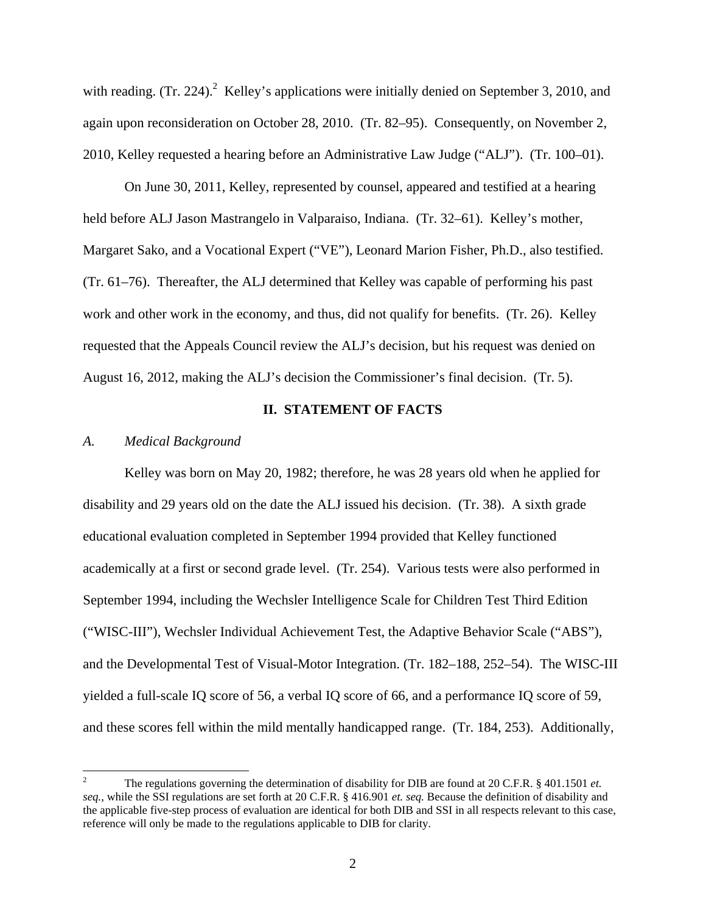with reading.  $(Tr. 224)$ . Kelley's applications were initially denied on September 3, 2010, and again upon reconsideration on October 28, 2010. (Tr. 82–95). Consequently, on November 2, 2010, Kelley requested a hearing before an Administrative Law Judge ("ALJ"). (Tr. 100–01).

 On June 30, 2011, Kelley, represented by counsel, appeared and testified at a hearing held before ALJ Jason Mastrangelo in Valparaiso, Indiana. (Tr. 32–61). Kelley's mother, Margaret Sako, and a Vocational Expert ("VE"), Leonard Marion Fisher, Ph.D., also testified. (Tr. 61–76). Thereafter, the ALJ determined that Kelley was capable of performing his past work and other work in the economy, and thus, did not qualify for benefits. (Tr. 26). Kelley requested that the Appeals Council review the ALJ's decision, but his request was denied on August 16, 2012, making the ALJ's decision the Commissioner's final decision. (Tr. 5).

### **II. STATEMENT OF FACTS**

#### *A. Medical Background*

Kelley was born on May 20, 1982; therefore, he was 28 years old when he applied for disability and 29 years old on the date the ALJ issued his decision. (Tr. 38). A sixth grade educational evaluation completed in September 1994 provided that Kelley functioned academically at a first or second grade level. (Tr. 254). Various tests were also performed in September 1994, including the Wechsler Intelligence Scale for Children Test Third Edition ("WISC-III"), Wechsler Individual Achievement Test, the Adaptive Behavior Scale ("ABS"), and the Developmental Test of Visual-Motor Integration. (Tr. 182–188, 252–54). The WISC-III yielded a full-scale IQ score of 56, a verbal IQ score of 66, and a performance IQ score of 59, and these scores fell within the mild mentally handicapped range. (Tr. 184, 253). Additionally,

 $\overline{a}$ 2 The regulations governing the determination of disability for DIB are found at 20 C.F.R. § 401.1501 *et. seq.*, while the SSI regulations are set forth at 20 C.F.R. § 416.901 *et. seq.* Because the definition of disability and the applicable five-step process of evaluation are identical for both DIB and SSI in all respects relevant to this case, reference will only be made to the regulations applicable to DIB for clarity.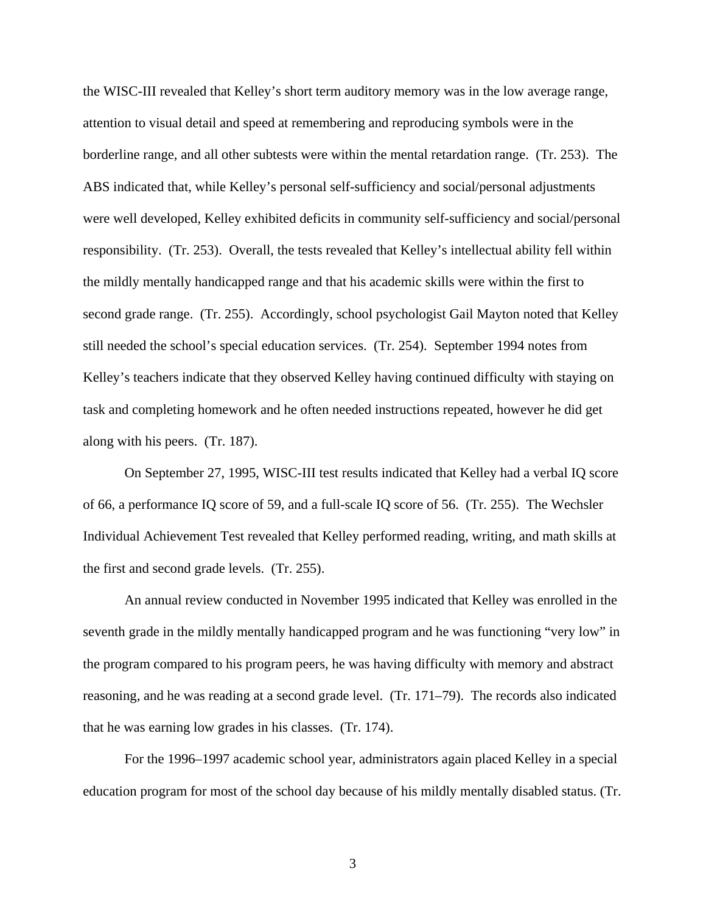the WISC-III revealed that Kelley's short term auditory memory was in the low average range, attention to visual detail and speed at remembering and reproducing symbols were in the borderline range, and all other subtests were within the mental retardation range. (Tr. 253). The ABS indicated that, while Kelley's personal self-sufficiency and social/personal adjustments were well developed, Kelley exhibited deficits in community self-sufficiency and social/personal responsibility. (Tr. 253). Overall, the tests revealed that Kelley's intellectual ability fell within the mildly mentally handicapped range and that his academic skills were within the first to second grade range. (Tr. 255). Accordingly, school psychologist Gail Mayton noted that Kelley still needed the school's special education services. (Tr. 254). September 1994 notes from Kelley's teachers indicate that they observed Kelley having continued difficulty with staying on task and completing homework and he often needed instructions repeated, however he did get along with his peers. (Tr. 187).

On September 27, 1995, WISC-III test results indicated that Kelley had a verbal IQ score of 66, a performance IQ score of 59, and a full-scale IQ score of 56. (Tr. 255). The Wechsler Individual Achievement Test revealed that Kelley performed reading, writing, and math skills at the first and second grade levels. (Tr. 255).

An annual review conducted in November 1995 indicated that Kelley was enrolled in the seventh grade in the mildly mentally handicapped program and he was functioning "very low" in the program compared to his program peers, he was having difficulty with memory and abstract reasoning, and he was reading at a second grade level. (Tr. 171–79). The records also indicated that he was earning low grades in his classes. (Tr. 174).

For the 1996–1997 academic school year, administrators again placed Kelley in a special education program for most of the school day because of his mildly mentally disabled status. (Tr.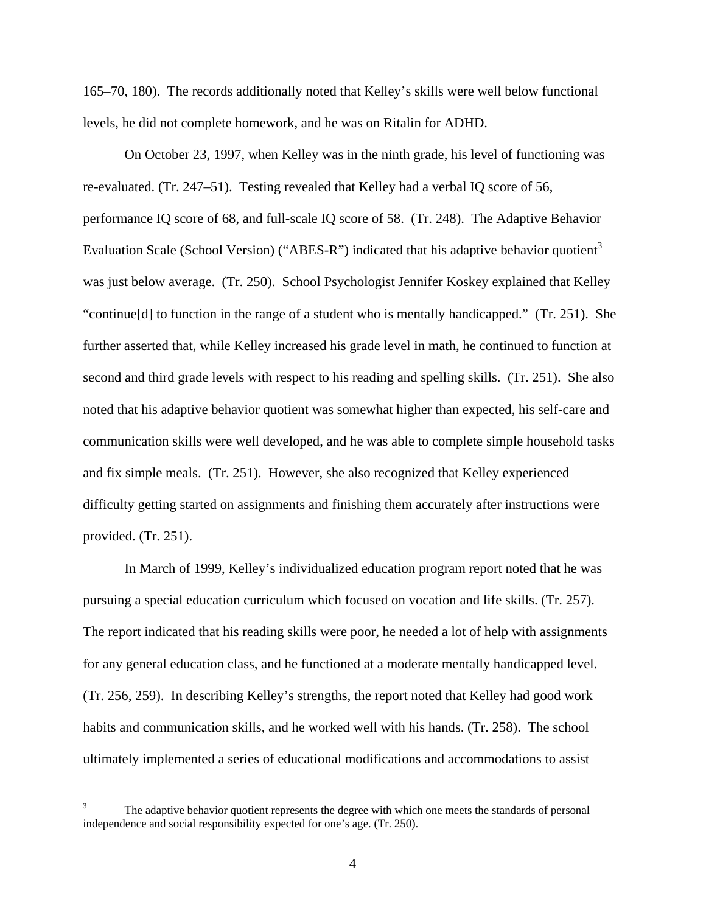165–70, 180). The records additionally noted that Kelley's skills were well below functional levels, he did not complete homework, and he was on Ritalin for ADHD.

 On October 23, 1997, when Kelley was in the ninth grade, his level of functioning was re-evaluated. (Tr. 247–51). Testing revealed that Kelley had a verbal IQ score of 56, performance IQ score of 68, and full-scale IQ score of 58. (Tr. 248). The Adaptive Behavior Evaluation Scale (School Version) ("ABES-R") indicated that his adaptive behavior quotient<sup>3</sup> was just below average. (Tr. 250). School Psychologist Jennifer Koskey explained that Kelley "continue[d] to function in the range of a student who is mentally handicapped." (Tr. 251). She further asserted that, while Kelley increased his grade level in math, he continued to function at second and third grade levels with respect to his reading and spelling skills. (Tr. 251). She also noted that his adaptive behavior quotient was somewhat higher than expected, his self-care and communication skills were well developed, and he was able to complete simple household tasks and fix simple meals. (Tr. 251). However, she also recognized that Kelley experienced difficulty getting started on assignments and finishing them accurately after instructions were provided. (Tr. 251).

 In March of 1999, Kelley's individualized education program report noted that he was pursuing a special education curriculum which focused on vocation and life skills. (Tr. 257). The report indicated that his reading skills were poor, he needed a lot of help with assignments for any general education class, and he functioned at a moderate mentally handicapped level. (Tr. 256, 259). In describing Kelley's strengths, the report noted that Kelley had good work habits and communication skills, and he worked well with his hands. (Tr. 258). The school ultimately implemented a series of educational modifications and accommodations to assist

 $\overline{\phantom{a}}$ 3 The adaptive behavior quotient represents the degree with which one meets the standards of personal independence and social responsibility expected for one's age. (Tr. 250).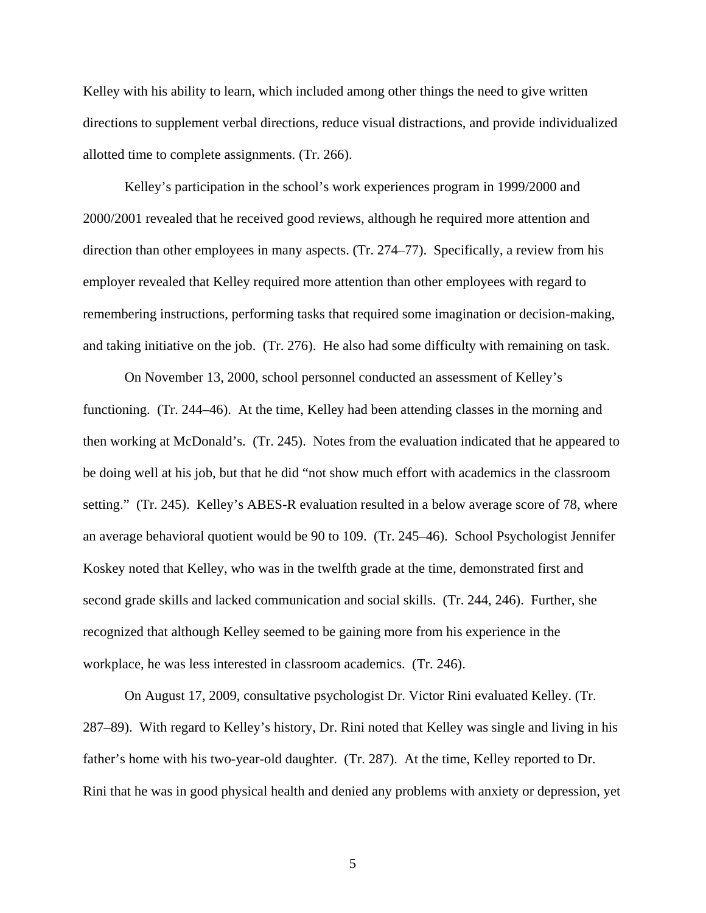Kelley with his ability to learn, which included among other things the need to give written directions to supplement verbal directions, reduce visual distractions, and provide individualized allotted time to complete assignments. (Tr. 266).

Kelley's participation in the school's work experiences program in 1999/2000 and 2000/2001 revealed that he received good reviews, although he required more attention and direction than other employees in many aspects. (Tr. 274–77). Specifically, a review from his employer revealed that Kelley required more attention than other employees with regard to remembering instructions, performing tasks that required some imagination or decision-making, and taking initiative on the job. (Tr. 276). He also had some difficulty with remaining on task.

 On November 13, 2000, school personnel conducted an assessment of Kelley's functioning. (Tr. 244–46). At the time, Kelley had been attending classes in the morning and then working at McDonald's. (Tr. 245). Notes from the evaluation indicated that he appeared to be doing well at his job, but that he did "not show much effort with academics in the classroom setting." (Tr. 245). Kelley's ABES-R evaluation resulted in a below average score of 78, where an average behavioral quotient would be 90 to 109. (Tr. 245–46). School Psychologist Jennifer Koskey noted that Kelley, who was in the twelfth grade at the time, demonstrated first and second grade skills and lacked communication and social skills. (Tr. 244, 246). Further, she recognized that although Kelley seemed to be gaining more from his experience in the workplace, he was less interested in classroom academics. (Tr. 246).

 On August 17, 2009, consultative psychologist Dr. Victor Rini evaluated Kelley. (Tr. 287–89). With regard to Kelley's history, Dr. Rini noted that Kelley was single and living in his father's home with his two-year-old daughter. (Tr. 287). At the time, Kelley reported to Dr. Rini that he was in good physical health and denied any problems with anxiety or depression, yet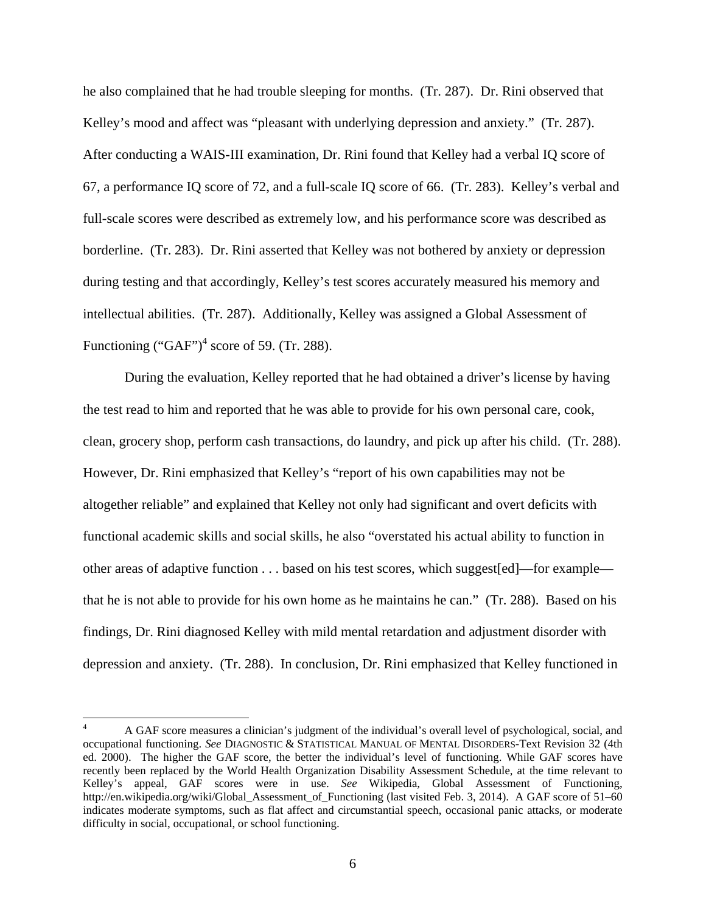he also complained that he had trouble sleeping for months. (Tr. 287). Dr. Rini observed that Kelley's mood and affect was "pleasant with underlying depression and anxiety." (Tr. 287). After conducting a WAIS-III examination, Dr. Rini found that Kelley had a verbal IQ score of 67, a performance IQ score of 72, and a full-scale IQ score of 66. (Tr. 283). Kelley's verbal and full-scale scores were described as extremely low, and his performance score was described as borderline. (Tr. 283). Dr. Rini asserted that Kelley was not bothered by anxiety or depression during testing and that accordingly, Kelley's test scores accurately measured his memory and intellectual abilities. (Tr. 287). Additionally, Kelley was assigned a Global Assessment of Functioning  $("GAF")^4$  score of 59. (Tr. 288).

During the evaluation, Kelley reported that he had obtained a driver's license by having the test read to him and reported that he was able to provide for his own personal care, cook, clean, grocery shop, perform cash transactions, do laundry, and pick up after his child. (Tr. 288). However, Dr. Rini emphasized that Kelley's "report of his own capabilities may not be altogether reliable" and explained that Kelley not only had significant and overt deficits with functional academic skills and social skills, he also "overstated his actual ability to function in other areas of adaptive function . . . based on his test scores, which suggest[ed]—for example that he is not able to provide for his own home as he maintains he can." (Tr. 288). Based on his findings, Dr. Rini diagnosed Kelley with mild mental retardation and adjustment disorder with depression and anxiety. (Tr. 288). In conclusion, Dr. Rini emphasized that Kelley functioned in

 $\frac{1}{2}$ 4 A GAF score measures a clinician's judgment of the individual's overall level of psychological, social, and occupational functioning. *See* DIAGNOSTIC & STATISTICAL MANUAL OF MENTAL DISORDERS-Text Revision 32 (4th ed. 2000). The higher the GAF score, the better the individual's level of functioning. While GAF scores have recently been replaced by the World Health Organization Disability Assessment Schedule, at the time relevant to Kelley's appeal, GAF scores were in use. *See* Wikipedia, Global Assessment of Functioning, http://en.wikipedia.org/wiki/Global\_Assessment\_of\_Functioning (last visited Feb. 3, 2014). A GAF score of 51–60 indicates moderate symptoms, such as flat affect and circumstantial speech, occasional panic attacks, or moderate difficulty in social, occupational, or school functioning.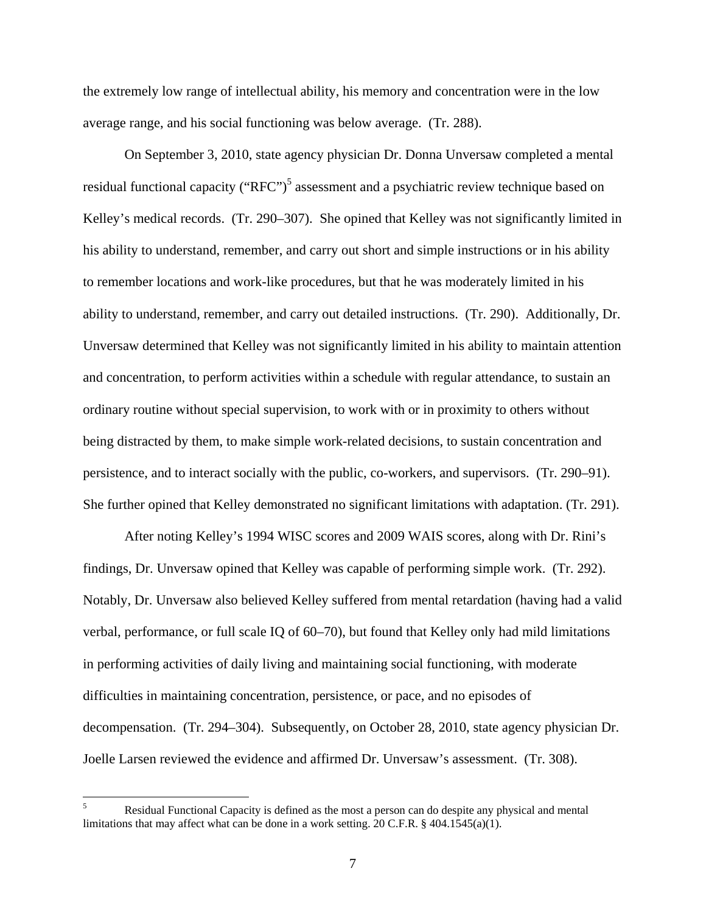the extremely low range of intellectual ability, his memory and concentration were in the low average range, and his social functioning was below average. (Tr. 288).

 On September 3, 2010, state agency physician Dr. Donna Unversaw completed a mental residual functional capacity ("RFC")<sup>5</sup> assessment and a psychiatric review technique based on Kelley's medical records. (Tr. 290–307). She opined that Kelley was not significantly limited in his ability to understand, remember, and carry out short and simple instructions or in his ability to remember locations and work-like procedures, but that he was moderately limited in his ability to understand, remember, and carry out detailed instructions. (Tr. 290). Additionally, Dr. Unversaw determined that Kelley was not significantly limited in his ability to maintain attention and concentration, to perform activities within a schedule with regular attendance, to sustain an ordinary routine without special supervision, to work with or in proximity to others without being distracted by them, to make simple work-related decisions, to sustain concentration and persistence, and to interact socially with the public, co-workers, and supervisors. (Tr. 290–91). She further opined that Kelley demonstrated no significant limitations with adaptation. (Tr. 291).

After noting Kelley's 1994 WISC scores and 2009 WAIS scores, along with Dr. Rini's findings, Dr. Unversaw opined that Kelley was capable of performing simple work. (Tr. 292). Notably, Dr. Unversaw also believed Kelley suffered from mental retardation (having had a valid verbal, performance, or full scale IQ of 60–70), but found that Kelley only had mild limitations in performing activities of daily living and maintaining social functioning, with moderate difficulties in maintaining concentration, persistence, or pace, and no episodes of decompensation. (Tr. 294–304). Subsequently, on October 28, 2010, state agency physician Dr. Joelle Larsen reviewed the evidence and affirmed Dr. Unversaw's assessment. (Tr. 308).

 $\overline{\phantom{a}}$ 5 Residual Functional Capacity is defined as the most a person can do despite any physical and mental limitations that may affect what can be done in a work setting. 20 C.F.R. § 404.1545(a)(1).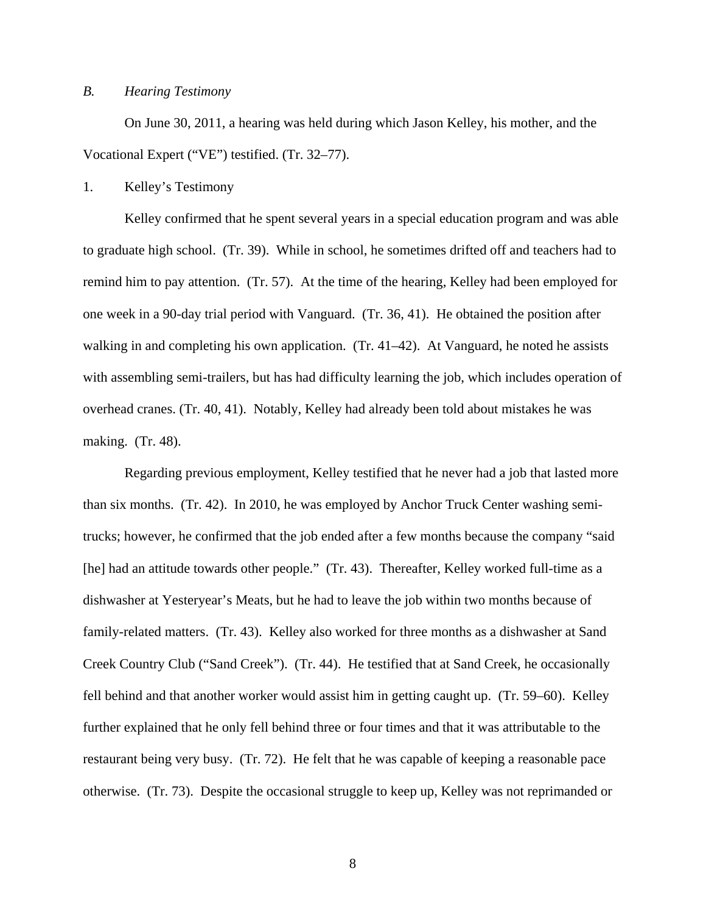### *B. Hearing Testimony*

 On June 30, 2011, a hearing was held during which Jason Kelley, his mother, and the Vocational Expert ("VE") testified. (Tr. 32–77).

1. Kelley's Testimony

Kelley confirmed that he spent several years in a special education program and was able to graduate high school. (Tr. 39). While in school, he sometimes drifted off and teachers had to remind him to pay attention. (Tr. 57). At the time of the hearing, Kelley had been employed for one week in a 90-day trial period with Vanguard. (Tr. 36, 41). He obtained the position after walking in and completing his own application. (Tr. 41–42). At Vanguard, he noted he assists with assembling semi-trailers, but has had difficulty learning the job, which includes operation of overhead cranes. (Tr. 40, 41). Notably, Kelley had already been told about mistakes he was making. (Tr. 48).

 Regarding previous employment, Kelley testified that he never had a job that lasted more than six months. (Tr. 42). In 2010, he was employed by Anchor Truck Center washing semitrucks; however, he confirmed that the job ended after a few months because the company "said [he] had an attitude towards other people." (Tr. 43). Thereafter, Kelley worked full-time as a dishwasher at Yesteryear's Meats, but he had to leave the job within two months because of family-related matters. (Tr. 43). Kelley also worked for three months as a dishwasher at Sand Creek Country Club ("Sand Creek"). (Tr. 44). He testified that at Sand Creek, he occasionally fell behind and that another worker would assist him in getting caught up. (Tr. 59–60). Kelley further explained that he only fell behind three or four times and that it was attributable to the restaurant being very busy. (Tr. 72). He felt that he was capable of keeping a reasonable pace otherwise. (Tr. 73). Despite the occasional struggle to keep up, Kelley was not reprimanded or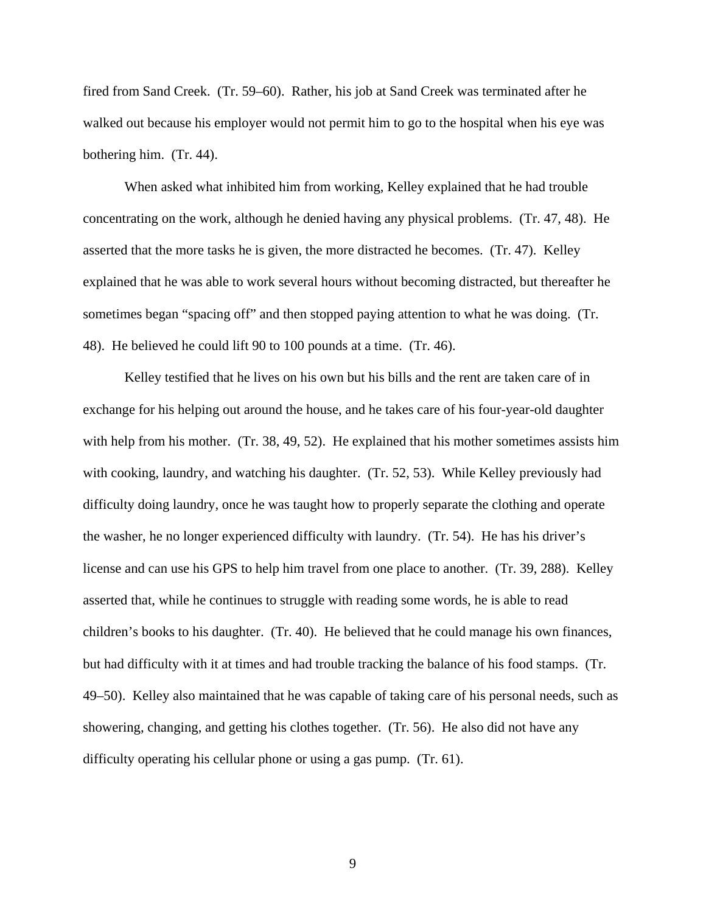fired from Sand Creek. (Tr. 59–60). Rather, his job at Sand Creek was terminated after he walked out because his employer would not permit him to go to the hospital when his eye was bothering him. (Tr. 44).

 When asked what inhibited him from working, Kelley explained that he had trouble concentrating on the work, although he denied having any physical problems. (Tr. 47, 48). He asserted that the more tasks he is given, the more distracted he becomes. (Tr. 47). Kelley explained that he was able to work several hours without becoming distracted, but thereafter he sometimes began "spacing off" and then stopped paying attention to what he was doing. (Tr. 48). He believed he could lift 90 to 100 pounds at a time. (Tr. 46).

Kelley testified that he lives on his own but his bills and the rent are taken care of in exchange for his helping out around the house, and he takes care of his four-year-old daughter with help from his mother. (Tr. 38, 49, 52). He explained that his mother sometimes assists him with cooking, laundry, and watching his daughter. (Tr. 52, 53). While Kelley previously had difficulty doing laundry, once he was taught how to properly separate the clothing and operate the washer, he no longer experienced difficulty with laundry. (Tr. 54). He has his driver's license and can use his GPS to help him travel from one place to another. (Tr. 39, 288). Kelley asserted that, while he continues to struggle with reading some words, he is able to read children's books to his daughter. (Tr. 40). He believed that he could manage his own finances, but had difficulty with it at times and had trouble tracking the balance of his food stamps. (Tr. 49–50). Kelley also maintained that he was capable of taking care of his personal needs, such as showering, changing, and getting his clothes together. (Tr. 56). He also did not have any difficulty operating his cellular phone or using a gas pump. (Tr. 61).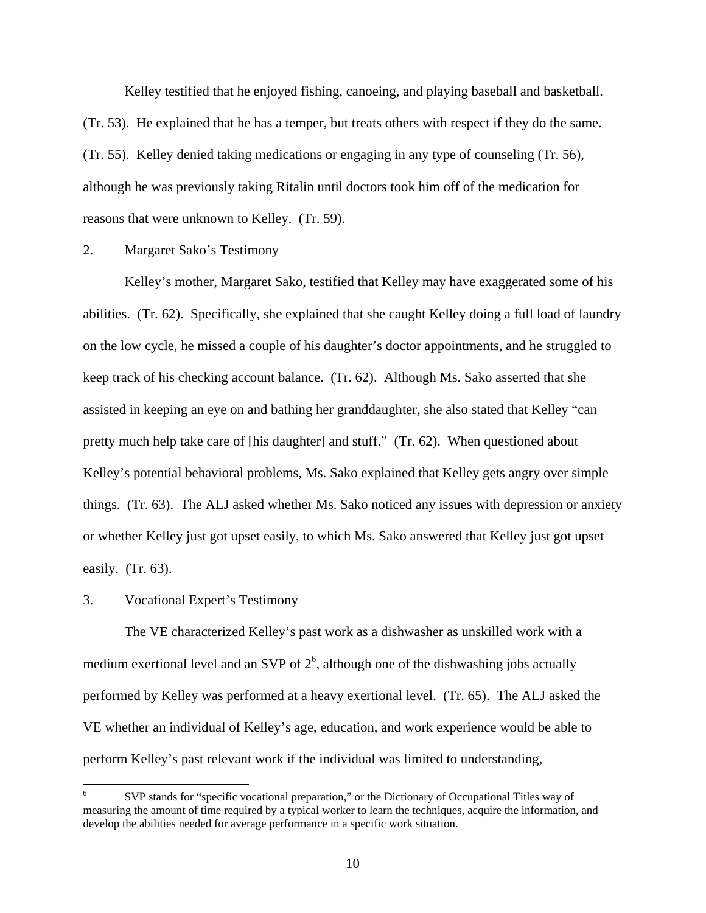Kelley testified that he enjoyed fishing, canoeing, and playing baseball and basketball. (Tr. 53). He explained that he has a temper, but treats others with respect if they do the same. (Tr. 55). Kelley denied taking medications or engaging in any type of counseling (Tr. 56), although he was previously taking Ritalin until doctors took him off of the medication for reasons that were unknown to Kelley. (Tr. 59).

## 2. Margaret Sako's Testimony

 Kelley's mother, Margaret Sako, testified that Kelley may have exaggerated some of his abilities. (Tr. 62). Specifically, she explained that she caught Kelley doing a full load of laundry on the low cycle, he missed a couple of his daughter's doctor appointments, and he struggled to keep track of his checking account balance. (Tr. 62). Although Ms. Sako asserted that she assisted in keeping an eye on and bathing her granddaughter, she also stated that Kelley "can pretty much help take care of [his daughter] and stuff." (Tr. 62). When questioned about Kelley's potential behavioral problems, Ms. Sako explained that Kelley gets angry over simple things. (Tr. 63). The ALJ asked whether Ms. Sako noticed any issues with depression or anxiety or whether Kelley just got upset easily, to which Ms. Sako answered that Kelley just got upset easily. (Tr. 63).

#### 3. Vocational Expert's Testimony

 The VE characterized Kelley's past work as a dishwasher as unskilled work with a medium exertional level and an SVP of  $2<sup>6</sup>$ , although one of the dishwashing jobs actually performed by Kelley was performed at a heavy exertional level. (Tr. 65). The ALJ asked the VE whether an individual of Kelley's age, education, and work experience would be able to perform Kelley's past relevant work if the individual was limited to understanding,

 $\overline{a}$ 6 SVP stands for "specific vocational preparation," or the Dictionary of Occupational Titles way of measuring the amount of time required by a typical worker to learn the techniques, acquire the information, and develop the abilities needed for average performance in a specific work situation.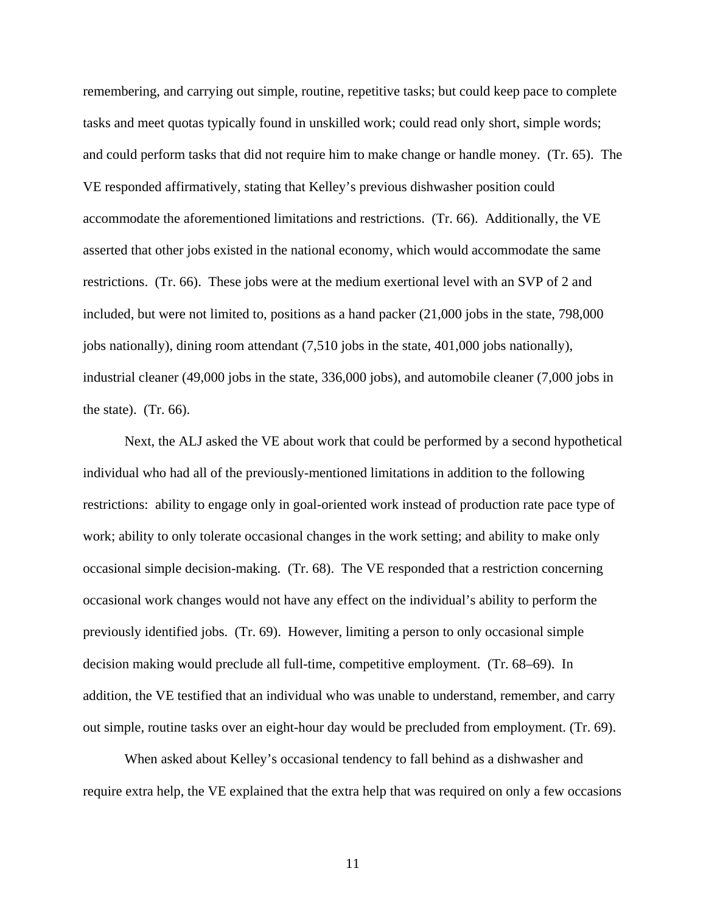remembering, and carrying out simple, routine, repetitive tasks; but could keep pace to complete tasks and meet quotas typically found in unskilled work; could read only short, simple words; and could perform tasks that did not require him to make change or handle money. (Tr. 65). The VE responded affirmatively, stating that Kelley's previous dishwasher position could accommodate the aforementioned limitations and restrictions. (Tr. 66). Additionally, the VE asserted that other jobs existed in the national economy, which would accommodate the same restrictions. (Tr. 66). These jobs were at the medium exertional level with an SVP of 2 and included, but were not limited to, positions as a hand packer (21,000 jobs in the state, 798,000 jobs nationally), dining room attendant (7,510 jobs in the state, 401,000 jobs nationally), industrial cleaner (49,000 jobs in the state, 336,000 jobs), and automobile cleaner (7,000 jobs in the state).  $(Tr. 66)$ .

 Next, the ALJ asked the VE about work that could be performed by a second hypothetical individual who had all of the previously-mentioned limitations in addition to the following restrictions: ability to engage only in goal-oriented work instead of production rate pace type of work; ability to only tolerate occasional changes in the work setting; and ability to make only occasional simple decision-making. (Tr. 68). The VE responded that a restriction concerning occasional work changes would not have any effect on the individual's ability to perform the previously identified jobs. (Tr. 69). However, limiting a person to only occasional simple decision making would preclude all full-time, competitive employment. (Tr. 68–69). In addition, the VE testified that an individual who was unable to understand, remember, and carry out simple, routine tasks over an eight-hour day would be precluded from employment. (Tr. 69).

 When asked about Kelley's occasional tendency to fall behind as a dishwasher and require extra help, the VE explained that the extra help that was required on only a few occasions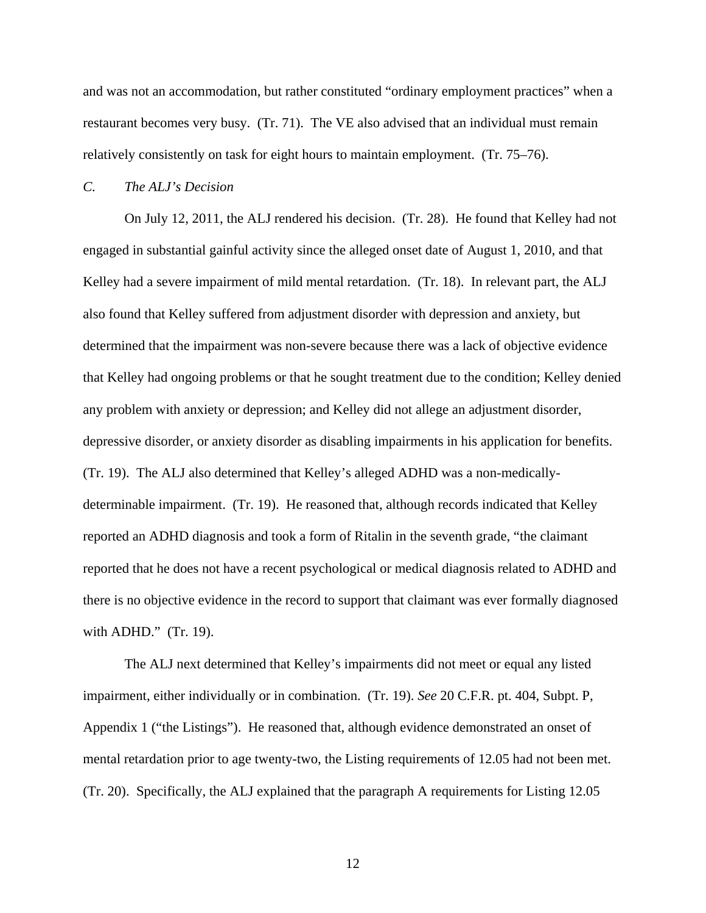and was not an accommodation, but rather constituted "ordinary employment practices" when a restaurant becomes very busy. (Tr. 71). The VE also advised that an individual must remain relatively consistently on task for eight hours to maintain employment. (Tr. 75–76).

#### *C. The ALJ's Decision*

 On July 12, 2011, the ALJ rendered his decision. (Tr. 28). He found that Kelley had not engaged in substantial gainful activity since the alleged onset date of August 1, 2010, and that Kelley had a severe impairment of mild mental retardation. (Tr. 18). In relevant part, the ALJ also found that Kelley suffered from adjustment disorder with depression and anxiety, but determined that the impairment was non-severe because there was a lack of objective evidence that Kelley had ongoing problems or that he sought treatment due to the condition; Kelley denied any problem with anxiety or depression; and Kelley did not allege an adjustment disorder, depressive disorder, or anxiety disorder as disabling impairments in his application for benefits. (Tr. 19). The ALJ also determined that Kelley's alleged ADHD was a non-medicallydeterminable impairment. (Tr. 19). He reasoned that, although records indicated that Kelley reported an ADHD diagnosis and took a form of Ritalin in the seventh grade, "the claimant reported that he does not have a recent psychological or medical diagnosis related to ADHD and there is no objective evidence in the record to support that claimant was ever formally diagnosed with ADHD." (Tr. 19).

The ALJ next determined that Kelley's impairments did not meet or equal any listed impairment, either individually or in combination. (Tr. 19). *See* 20 C.F.R. pt. 404, Subpt. P, Appendix 1 ("the Listings"). He reasoned that, although evidence demonstrated an onset of mental retardation prior to age twenty-two, the Listing requirements of 12.05 had not been met. (Tr. 20). Specifically, the ALJ explained that the paragraph A requirements for Listing 12.05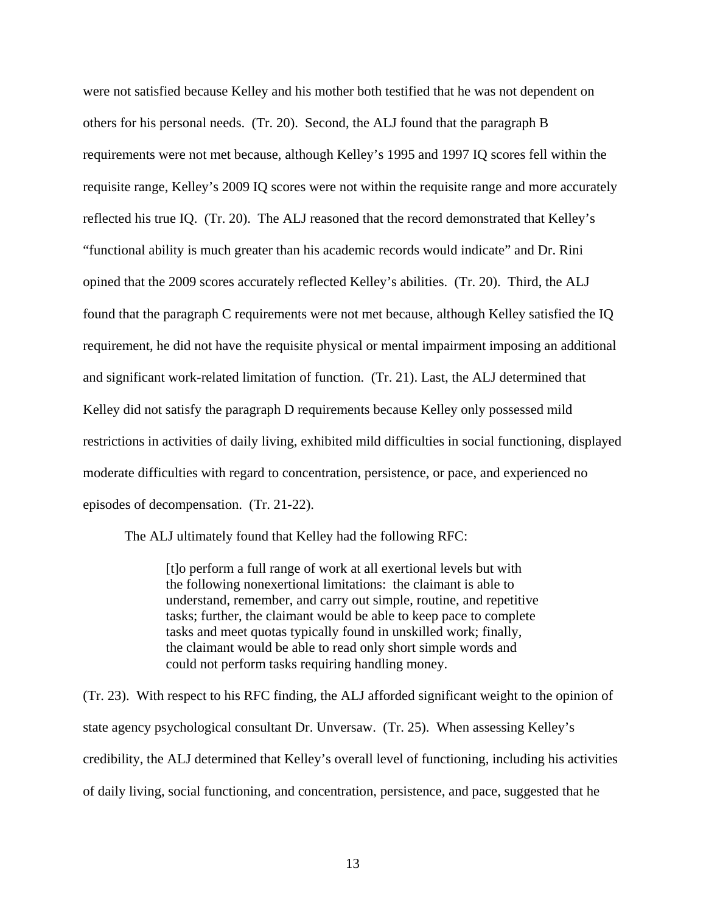were not satisfied because Kelley and his mother both testified that he was not dependent on others for his personal needs. (Tr. 20). Second, the ALJ found that the paragraph B requirements were not met because, although Kelley's 1995 and 1997 IQ scores fell within the requisite range, Kelley's 2009 IQ scores were not within the requisite range and more accurately reflected his true IQ. (Tr. 20). The ALJ reasoned that the record demonstrated that Kelley's "functional ability is much greater than his academic records would indicate" and Dr. Rini opined that the 2009 scores accurately reflected Kelley's abilities. (Tr. 20). Third, the ALJ found that the paragraph C requirements were not met because, although Kelley satisfied the IQ requirement, he did not have the requisite physical or mental impairment imposing an additional and significant work-related limitation of function. (Tr. 21). Last, the ALJ determined that Kelley did not satisfy the paragraph D requirements because Kelley only possessed mild restrictions in activities of daily living, exhibited mild difficulties in social functioning, displayed moderate difficulties with regard to concentration, persistence, or pace, and experienced no episodes of decompensation. (Tr. 21-22).

The ALJ ultimately found that Kelley had the following RFC:

[t]o perform a full range of work at all exertional levels but with the following nonexertional limitations: the claimant is able to understand, remember, and carry out simple, routine, and repetitive tasks; further, the claimant would be able to keep pace to complete tasks and meet quotas typically found in unskilled work; finally, the claimant would be able to read only short simple words and could not perform tasks requiring handling money.

(Tr. 23). With respect to his RFC finding, the ALJ afforded significant weight to the opinion of state agency psychological consultant Dr. Unversaw. (Tr. 25). When assessing Kelley's credibility, the ALJ determined that Kelley's overall level of functioning, including his activities of daily living, social functioning, and concentration, persistence, and pace, suggested that he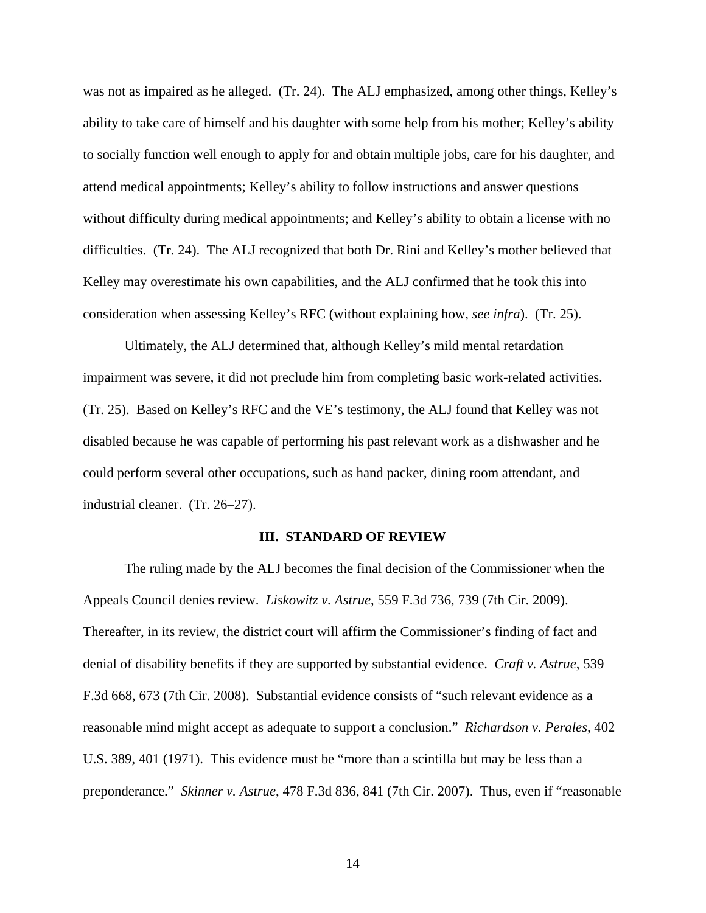was not as impaired as he alleged. (Tr. 24). The ALJ emphasized, among other things, Kelley's ability to take care of himself and his daughter with some help from his mother; Kelley's ability to socially function well enough to apply for and obtain multiple jobs, care for his daughter, and attend medical appointments; Kelley's ability to follow instructions and answer questions without difficulty during medical appointments; and Kelley's ability to obtain a license with no difficulties. (Tr. 24). The ALJ recognized that both Dr. Rini and Kelley's mother believed that Kelley may overestimate his own capabilities, and the ALJ confirmed that he took this into consideration when assessing Kelley's RFC (without explaining how, *see infra*). (Tr. 25).

 Ultimately, the ALJ determined that, although Kelley's mild mental retardation impairment was severe, it did not preclude him from completing basic work-related activities. (Tr. 25). Based on Kelley's RFC and the VE's testimony, the ALJ found that Kelley was not disabled because he was capable of performing his past relevant work as a dishwasher and he could perform several other occupations, such as hand packer, dining room attendant, and industrial cleaner. (Tr. 26–27).

#### **III. STANDARD OF REVIEW**

 The ruling made by the ALJ becomes the final decision of the Commissioner when the Appeals Council denies review. *Liskowitz v. Astrue*, 559 F.3d 736, 739 (7th Cir. 2009). Thereafter, in its review, the district court will affirm the Commissioner's finding of fact and denial of disability benefits if they are supported by substantial evidence. *Craft v. Astrue*, 539 F.3d 668, 673 (7th Cir. 2008). Substantial evidence consists of "such relevant evidence as a reasonable mind might accept as adequate to support a conclusion." *Richardson v. Perales,* 402 U.S. 389, 401 (1971). This evidence must be "more than a scintilla but may be less than a preponderance." *Skinner v. Astrue*, 478 F.3d 836, 841 (7th Cir. 2007). Thus, even if "reasonable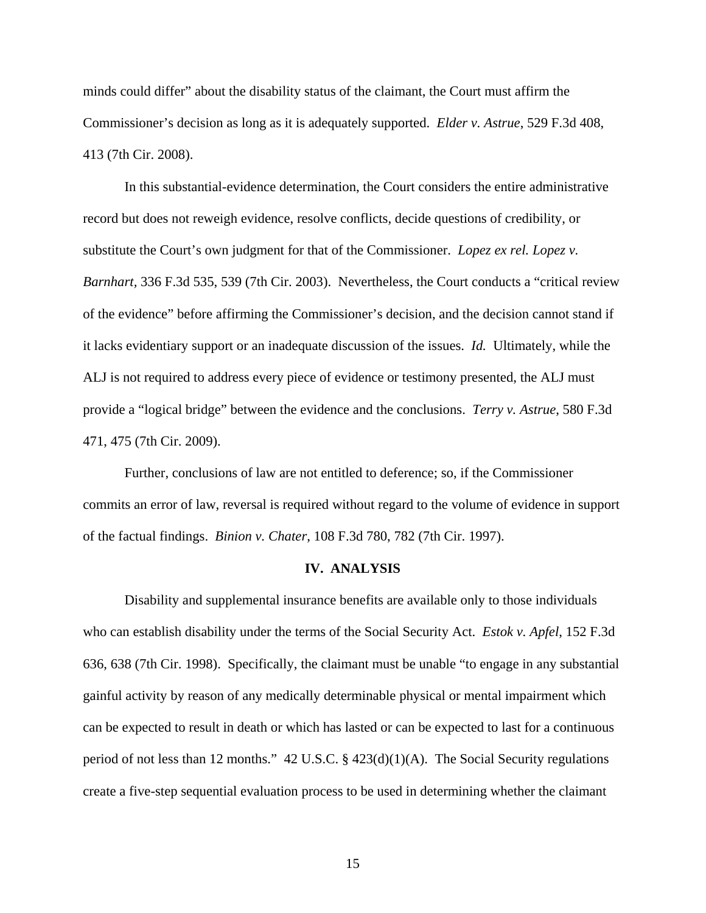minds could differ" about the disability status of the claimant, the Court must affirm the Commissioner's decision as long as it is adequately supported. *Elder v. Astrue*, 529 F.3d 408, 413 (7th Cir. 2008).

 In this substantial-evidence determination, the Court considers the entire administrative record but does not reweigh evidence, resolve conflicts, decide questions of credibility, or substitute the Court's own judgment for that of the Commissioner. *Lopez ex rel. Lopez v. Barnhart,* 336 F.3d 535, 539 (7th Cir. 2003). Nevertheless, the Court conducts a "critical review of the evidence" before affirming the Commissioner's decision, and the decision cannot stand if it lacks evidentiary support or an inadequate discussion of the issues. *Id.* Ultimately, while the ALJ is not required to address every piece of evidence or testimony presented, the ALJ must provide a "logical bridge" between the evidence and the conclusions. *Terry v. Astrue*, 580 F.3d 471, 475 (7th Cir. 2009).

 Further, conclusions of law are not entitled to deference; so, if the Commissioner commits an error of law, reversal is required without regard to the volume of evidence in support of the factual findings. *Binion v. Chater*, 108 F.3d 780, 782 (7th Cir. 1997).

## **IV. ANALYSIS**

 Disability and supplemental insurance benefits are available only to those individuals who can establish disability under the terms of the Social Security Act. *Estok v. Apfel*, 152 F.3d 636, 638 (7th Cir. 1998). Specifically, the claimant must be unable "to engage in any substantial gainful activity by reason of any medically determinable physical or mental impairment which can be expected to result in death or which has lasted or can be expected to last for a continuous period of not less than 12 months." 42 U.S.C. § 423(d)(1)(A). The Social Security regulations create a five-step sequential evaluation process to be used in determining whether the claimant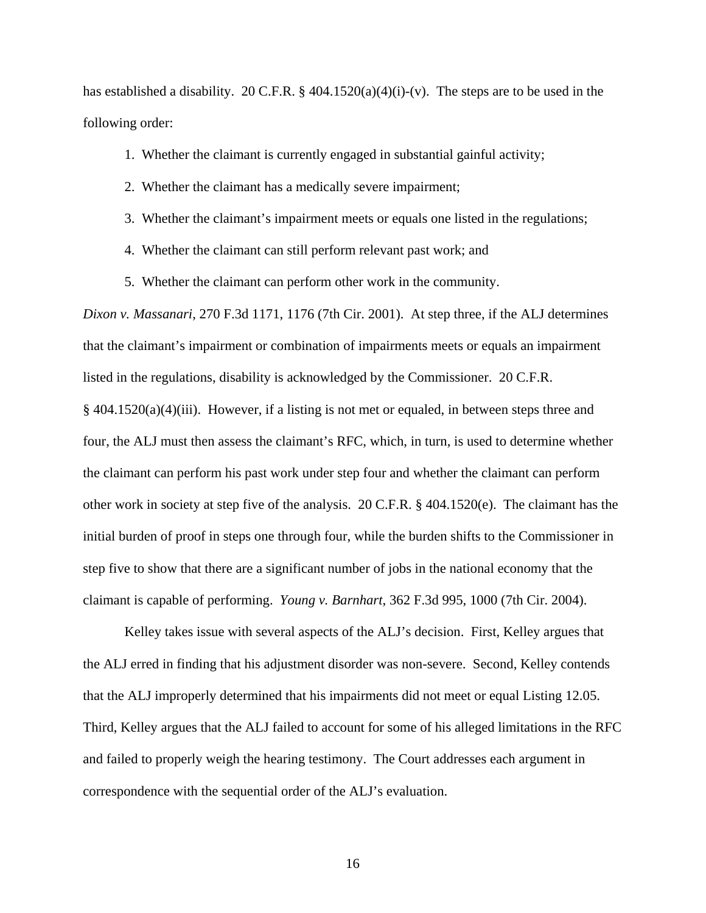has established a disability. 20 C.F.R. § 404.1520(a)(4)(i)-(v). The steps are to be used in the following order:

- 1. Whether the claimant is currently engaged in substantial gainful activity;
- 2. Whether the claimant has a medically severe impairment;
- 3. Whether the claimant's impairment meets or equals one listed in the regulations;
- 4. Whether the claimant can still perform relevant past work; and
- 5. Whether the claimant can perform other work in the community.

*Dixon v. Massanari*, 270 F.3d 1171, 1176 (7th Cir. 2001). At step three, if the ALJ determines that the claimant's impairment or combination of impairments meets or equals an impairment listed in the regulations, disability is acknowledged by the Commissioner. 20 C.F.R. § 404.1520(a)(4)(iii). However, if a listing is not met or equaled, in between steps three and four, the ALJ must then assess the claimant's RFC, which, in turn, is used to determine whether the claimant can perform his past work under step four and whether the claimant can perform other work in society at step five of the analysis. 20 C.F.R. § 404.1520(e). The claimant has the initial burden of proof in steps one through four, while the burden shifts to the Commissioner in step five to show that there are a significant number of jobs in the national economy that the claimant is capable of performing. *Young v. Barnhart*, 362 F.3d 995, 1000 (7th Cir. 2004).

Kelley takes issue with several aspects of the ALJ's decision. First, Kelley argues that the ALJ erred in finding that his adjustment disorder was non-severe. Second, Kelley contends that the ALJ improperly determined that his impairments did not meet or equal Listing 12.05. Third, Kelley argues that the ALJ failed to account for some of his alleged limitations in the RFC and failed to properly weigh the hearing testimony. The Court addresses each argument in correspondence with the sequential order of the ALJ's evaluation.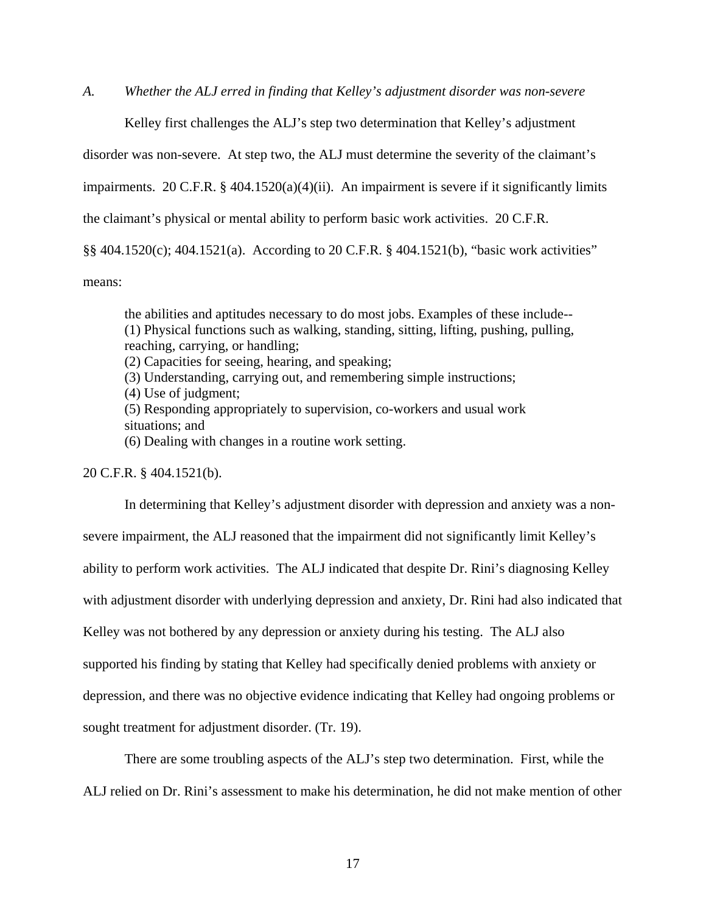*A. Whether the ALJ erred in finding that Kelley's adjustment disorder was non-severe* 

Kelley first challenges the ALJ's step two determination that Kelley's adjustment

disorder was non-severe. At step two, the ALJ must determine the severity of the claimant's

impairments. 20 C.F.R. § 404.1520(a)(4)(ii). An impairment is severe if it significantly limits

the claimant's physical or mental ability to perform basic work activities. 20 C.F.R.

§§ 404.1520(c); 404.1521(a). According to 20 C.F.R. § 404.1521(b), "basic work activities"

means:

the abilities and aptitudes necessary to do most jobs. Examples of these include-- (1) Physical functions such as walking, standing, sitting, lifting, pushing, pulling, reaching, carrying, or handling;

(2) Capacities for seeing, hearing, and speaking;

(3) Understanding, carrying out, and remembering simple instructions;

(4) Use of judgment;

(5) Responding appropriately to supervision, co-workers and usual work situations; and

(6) Dealing with changes in a routine work setting.

20 C.F.R. § 404.1521(b).

 In determining that Kelley's adjustment disorder with depression and anxiety was a nonsevere impairment, the ALJ reasoned that the impairment did not significantly limit Kelley's ability to perform work activities. The ALJ indicated that despite Dr. Rini's diagnosing Kelley with adjustment disorder with underlying depression and anxiety, Dr. Rini had also indicated that Kelley was not bothered by any depression or anxiety during his testing. The ALJ also supported his finding by stating that Kelley had specifically denied problems with anxiety or depression, and there was no objective evidence indicating that Kelley had ongoing problems or sought treatment for adjustment disorder. (Tr. 19).

There are some troubling aspects of the ALJ's step two determination. First, while the ALJ relied on Dr. Rini's assessment to make his determination, he did not make mention of other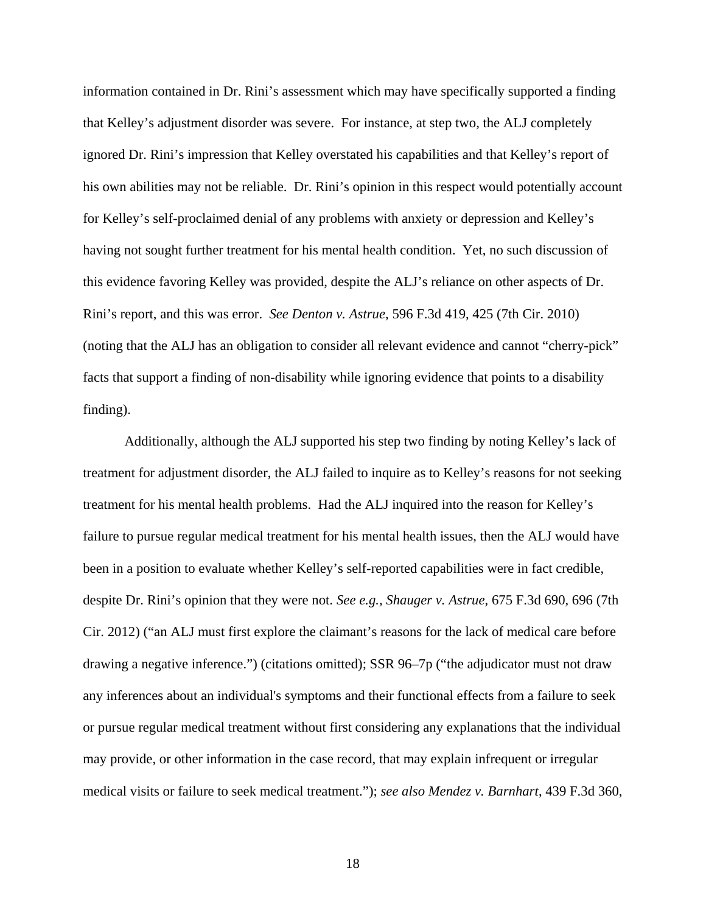information contained in Dr. Rini's assessment which may have specifically supported a finding that Kelley's adjustment disorder was severe. For instance, at step two, the ALJ completely ignored Dr. Rini's impression that Kelley overstated his capabilities and that Kelley's report of his own abilities may not be reliable. Dr. Rini's opinion in this respect would potentially account for Kelley's self-proclaimed denial of any problems with anxiety or depression and Kelley's having not sought further treatment for his mental health condition. Yet, no such discussion of this evidence favoring Kelley was provided, despite the ALJ's reliance on other aspects of Dr. Rini's report, and this was error. *See Denton v. Astrue*, 596 F.3d 419, 425 (7th Cir. 2010) (noting that the ALJ has an obligation to consider all relevant evidence and cannot "cherry-pick" facts that support a finding of non-disability while ignoring evidence that points to a disability finding).

Additionally, although the ALJ supported his step two finding by noting Kelley's lack of treatment for adjustment disorder, the ALJ failed to inquire as to Kelley's reasons for not seeking treatment for his mental health problems. Had the ALJ inquired into the reason for Kelley's failure to pursue regular medical treatment for his mental health issues, then the ALJ would have been in a position to evaluate whether Kelley's self-reported capabilities were in fact credible, despite Dr. Rini's opinion that they were not. *See e.g., Shauger v. Astrue*, 675 F.3d 690, 696 (7th Cir. 2012) ("an ALJ must first explore the claimant's reasons for the lack of medical care before drawing a negative inference.") (citations omitted); SSR 96–7p ("the adjudicator must not draw any inferences about an individual's symptoms and their functional effects from a failure to seek or pursue regular medical treatment without first considering any explanations that the individual may provide, or other information in the case record, that may explain infrequent or irregular medical visits or failure to seek medical treatment."); *see also Mendez v. Barnhart*, 439 F.3d 360,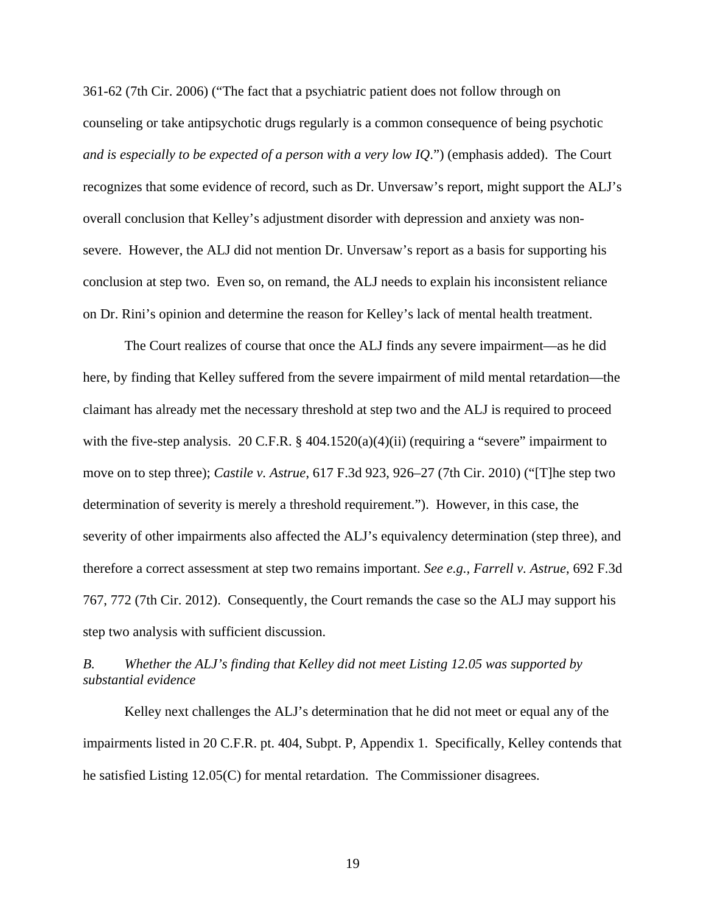361-62 (7th Cir. 2006) ("The fact that a psychiatric patient does not follow through on counseling or take antipsychotic drugs regularly is a common consequence of being psychotic *and is especially to be expected of a person with a very low IQ*.") (emphasis added). The Court recognizes that some evidence of record, such as Dr. Unversaw's report, might support the ALJ's overall conclusion that Kelley's adjustment disorder with depression and anxiety was nonsevere. However, the ALJ did not mention Dr. Unversaw's report as a basis for supporting his conclusion at step two. Even so, on remand, the ALJ needs to explain his inconsistent reliance on Dr. Rini's opinion and determine the reason for Kelley's lack of mental health treatment.

The Court realizes of course that once the ALJ finds any severe impairment—as he did here, by finding that Kelley suffered from the severe impairment of mild mental retardation—the claimant has already met the necessary threshold at step two and the ALJ is required to proceed with the five-step analysis. 20 C.F.R. § 404.1520(a)(4)(ii) (requiring a "severe" impairment to move on to step three); *Castile v. Astrue*, 617 F.3d 923, 926–27 (7th Cir. 2010) ("[T]he step two determination of severity is merely a threshold requirement."). However, in this case, the severity of other impairments also affected the ALJ's equivalency determination (step three), and therefore a correct assessment at step two remains important. *See e.g., Farrell v. Astrue*, 692 F.3d 767, 772 (7th Cir. 2012). Consequently, the Court remands the case so the ALJ may support his step two analysis with sufficient discussion.

*B. Whether the ALJ's finding that Kelley did not meet Listing 12.05 was supported by substantial evidence* 

 Kelley next challenges the ALJ's determination that he did not meet or equal any of the impairments listed in 20 C.F.R. pt. 404, Subpt. P, Appendix 1. Specifically, Kelley contends that he satisfied Listing 12.05(C) for mental retardation. The Commissioner disagrees.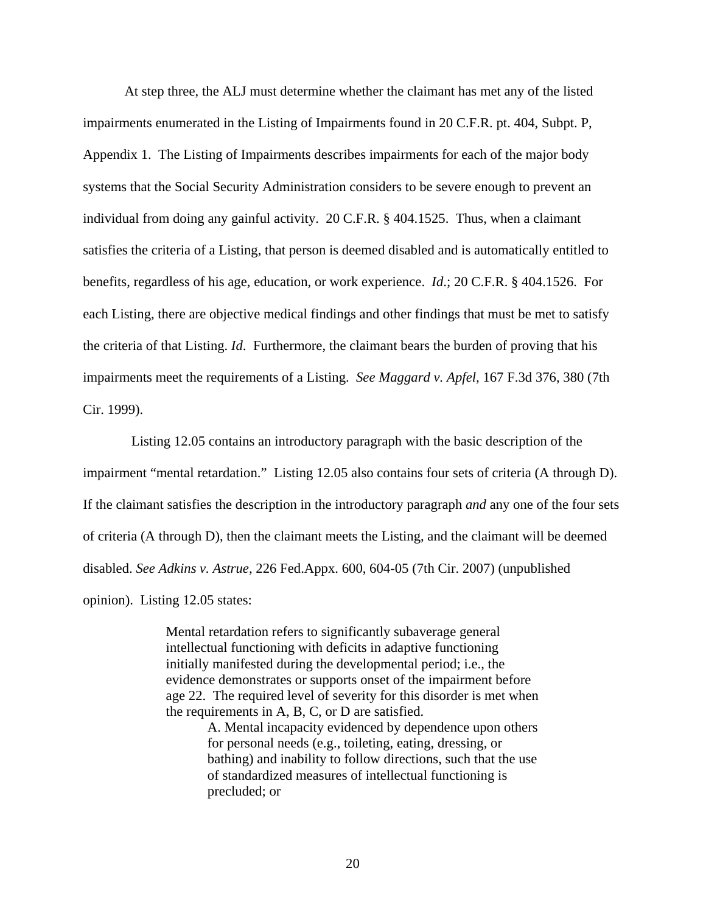At step three, the ALJ must determine whether the claimant has met any of the listed impairments enumerated in the Listing of Impairments found in 20 C.F.R. pt. 404, Subpt. P, Appendix 1. The Listing of Impairments describes impairments for each of the major body systems that the Social Security Administration considers to be severe enough to prevent an individual from doing any gainful activity. 20 C.F.R. § 404.1525. Thus, when a claimant satisfies the criteria of a Listing, that person is deemed disabled and is automatically entitled to benefits, regardless of his age, education, or work experience. *Id*.; 20 C.F.R. § 404.1526. For each Listing, there are objective medical findings and other findings that must be met to satisfy the criteria of that Listing. *Id*. Furthermore, the claimant bears the burden of proving that his impairments meet the requirements of a Listing. *See Maggard v. Apfel,* 167 F.3d 376, 380 (7th Cir. 1999).

 Listing 12.05 contains an introductory paragraph with the basic description of the impairment "mental retardation." Listing 12.05 also contains four sets of criteria (A through D). If the claimant satisfies the description in the introductory paragraph *and* any one of the four sets of criteria (A through D), then the claimant meets the Listing, and the claimant will be deemed disabled. *See Adkins v. Astrue*, 226 Fed.Appx. 600, 604-05 (7th Cir. 2007) (unpublished opinion). Listing 12.05 states:

> Mental retardation refers to significantly subaverage general intellectual functioning with deficits in adaptive functioning initially manifested during the developmental period; i.e., the evidence demonstrates or supports onset of the impairment before age 22. The required level of severity for this disorder is met when the requirements in A, B, C, or D are satisfied.

> > A. Mental incapacity evidenced by dependence upon others for personal needs (e.g., toileting, eating, dressing, or bathing) and inability to follow directions, such that the use of standardized measures of intellectual functioning is precluded; or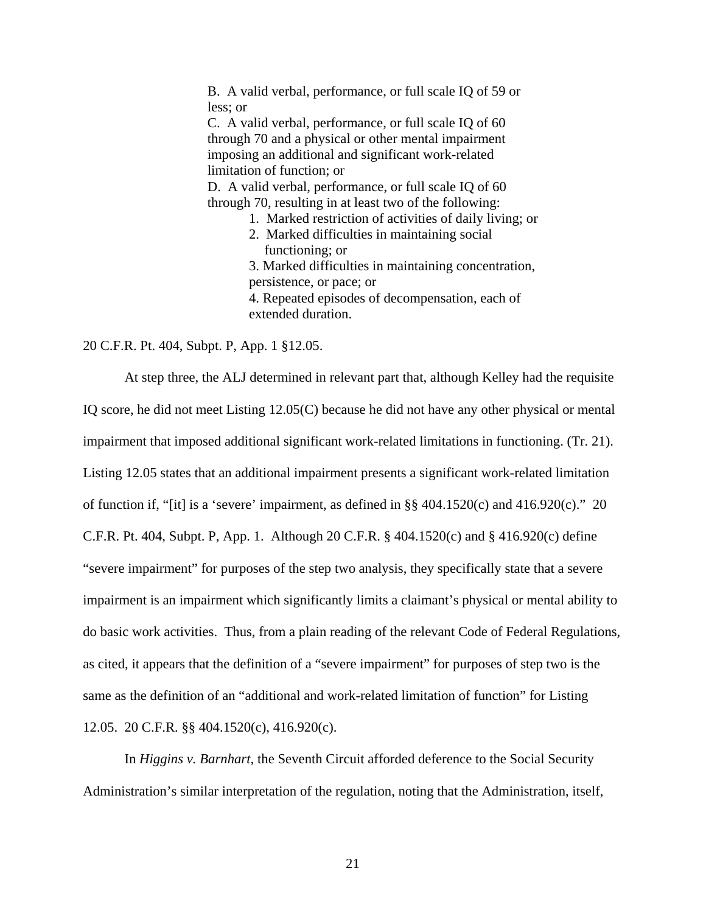B. A valid verbal, performance, or full scale IQ of 59 or less; or C. A valid verbal, performance, or full scale IQ of 60 through 70 and a physical or other mental impairment imposing an additional and significant work-related limitation of function; or D. A valid verbal, performance, or full scale IQ of 60 through 70, resulting in at least two of the following: 1. Marked restriction of activities of daily living; or 2. Marked difficulties in maintaining social functioning; or 3. Marked difficulties in maintaining concentration, persistence, or pace; or 4. Repeated episodes of decompensation, each of extended duration.

20 C.F.R. Pt. 404, Subpt. P, App. 1 §12.05.

 At step three, the ALJ determined in relevant part that, although Kelley had the requisite IQ score, he did not meet Listing 12.05(C) because he did not have any other physical or mental impairment that imposed additional significant work-related limitations in functioning. (Tr. 21). Listing 12.05 states that an additional impairment presents a significant work-related limitation of function if, "[it] is a 'severe' impairment, as defined in  $\S$ § 404.1520(c) and 416.920(c)." 20 C.F.R. Pt. 404, Subpt. P, App. 1. Although 20 C.F.R. § 404.1520(c) and § 416.920(c) define "severe impairment" for purposes of the step two analysis, they specifically state that a severe impairment is an impairment which significantly limits a claimant's physical or mental ability to do basic work activities. Thus, from a plain reading of the relevant Code of Federal Regulations, as cited, it appears that the definition of a "severe impairment" for purposes of step two is the same as the definition of an "additional and work-related limitation of function" for Listing 12.05. 20 C.F.R. §§ 404.1520(c), 416.920(c).

 In *Higgins v. Barnhart*, the Seventh Circuit afforded deference to the Social Security Administration's similar interpretation of the regulation, noting that the Administration, itself,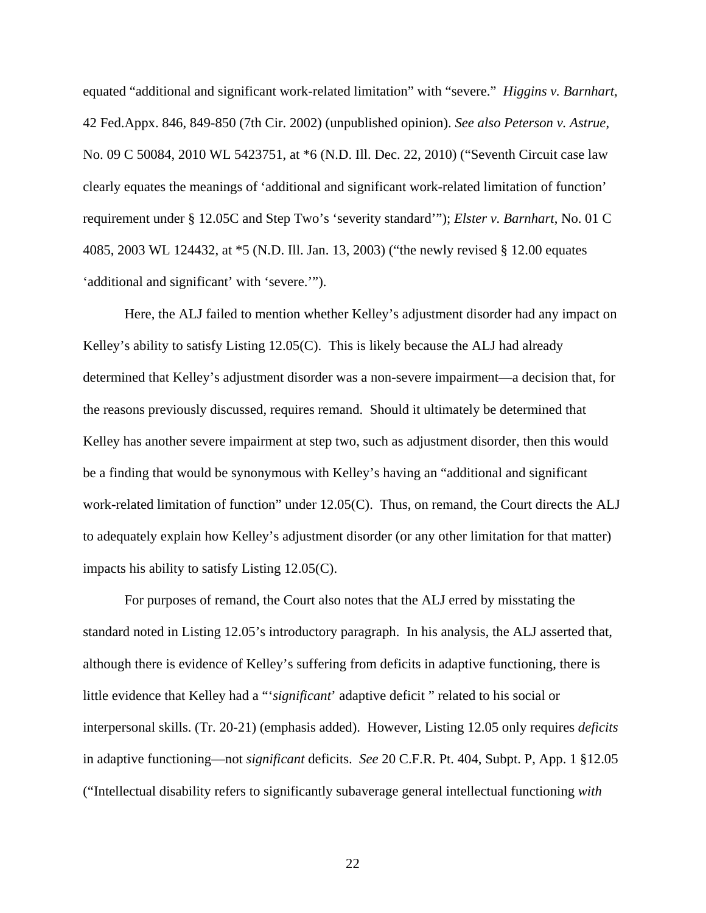equated "additional and significant work-related limitation" with "severe." *Higgins v. Barnhart,*  42 Fed.Appx. 846, 849-850 (7th Cir. 2002) (unpublished opinion). *See also Peterson v. Astrue*, No. 09 C 50084, 2010 WL 5423751, at \*6 (N.D. Ill. Dec. 22, 2010) ("Seventh Circuit case law clearly equates the meanings of 'additional and significant work-related limitation of function' requirement under § 12.05C and Step Two's 'severity standard'"); *Elster v. Barnhart*, No. 01 C 4085, 2003 WL 124432, at \*5 (N.D. Ill. Jan. 13, 2003) ("the newly revised § 12.00 equates 'additional and significant' with 'severe.'").

Here, the ALJ failed to mention whether Kelley's adjustment disorder had any impact on Kelley's ability to satisfy Listing 12.05(C). This is likely because the ALJ had already determined that Kelley's adjustment disorder was a non-severe impairment—a decision that, for the reasons previously discussed, requires remand. Should it ultimately be determined that Kelley has another severe impairment at step two, such as adjustment disorder, then this would be a finding that would be synonymous with Kelley's having an "additional and significant work-related limitation of function" under 12.05(C). Thus, on remand, the Court directs the ALJ to adequately explain how Kelley's adjustment disorder (or any other limitation for that matter) impacts his ability to satisfy Listing 12.05(C).

 For purposes of remand, the Court also notes that the ALJ erred by misstating the standard noted in Listing 12.05's introductory paragraph. In his analysis, the ALJ asserted that, although there is evidence of Kelley's suffering from deficits in adaptive functioning, there is little evidence that Kelley had a "'*significant*' adaptive deficit " related to his social or interpersonal skills. (Tr. 20-21) (emphasis added). However, Listing 12.05 only requires *deficits* in adaptive functioning—not *significant* deficits. *See* 20 C.F.R. Pt. 404, Subpt. P, App. 1 §12.05 ("Intellectual disability refers to significantly subaverage general intellectual functioning *with*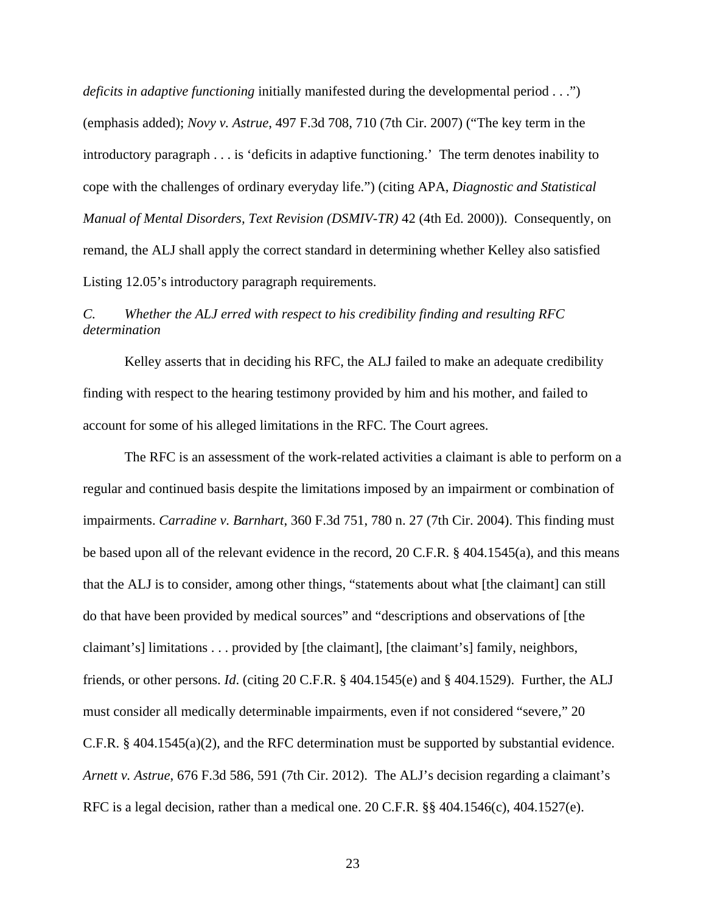*deficits in adaptive functioning* initially manifested during the developmental period . . .") (emphasis added); *Novy v. Astrue*, 497 F.3d 708, 710 (7th Cir. 2007) ("The key term in the introductory paragraph . . . is 'deficits in adaptive functioning.' The term denotes inability to cope with the challenges of ordinary everyday life.") (citing APA, *Diagnostic and Statistical Manual of Mental Disorders, Text Revision (DSMIV-TR)* 42 (4th Ed. 2000)). Consequently, on remand, the ALJ shall apply the correct standard in determining whether Kelley also satisfied Listing 12.05's introductory paragraph requirements.

# *C. Whether the ALJ erred with respect to his credibility finding and resulting RFC determination*

 Kelley asserts that in deciding his RFC, the ALJ failed to make an adequate credibility finding with respect to the hearing testimony provided by him and his mother, and failed to account for some of his alleged limitations in the RFC. The Court agrees.

 The RFC is an assessment of the work-related activities a claimant is able to perform on a regular and continued basis despite the limitations imposed by an impairment or combination of impairments. *Carradine v. Barnhart*, 360 F.3d 751, 780 n. 27 (7th Cir. 2004). This finding must be based upon all of the relevant evidence in the record, 20 C.F.R. § 404.1545(a), and this means that the ALJ is to consider, among other things, "statements about what [the claimant] can still do that have been provided by medical sources" and "descriptions and observations of [the claimant's] limitations . . . provided by [the claimant], [the claimant's] family, neighbors, friends, or other persons. *Id*. (citing 20 C.F.R. § 404.1545(e) and § 404.1529). Further, the ALJ must consider all medically determinable impairments, even if not considered "severe," 20 C.F.R. § 404.1545(a)(2), and the RFC determination must be supported by substantial evidence. *Arnett v. Astrue*, 676 F.3d 586, 591 (7th Cir. 2012). The ALJ's decision regarding a claimant's RFC is a legal decision, rather than a medical one. 20 C.F.R. §§ 404.1546(c), 404.1527(e).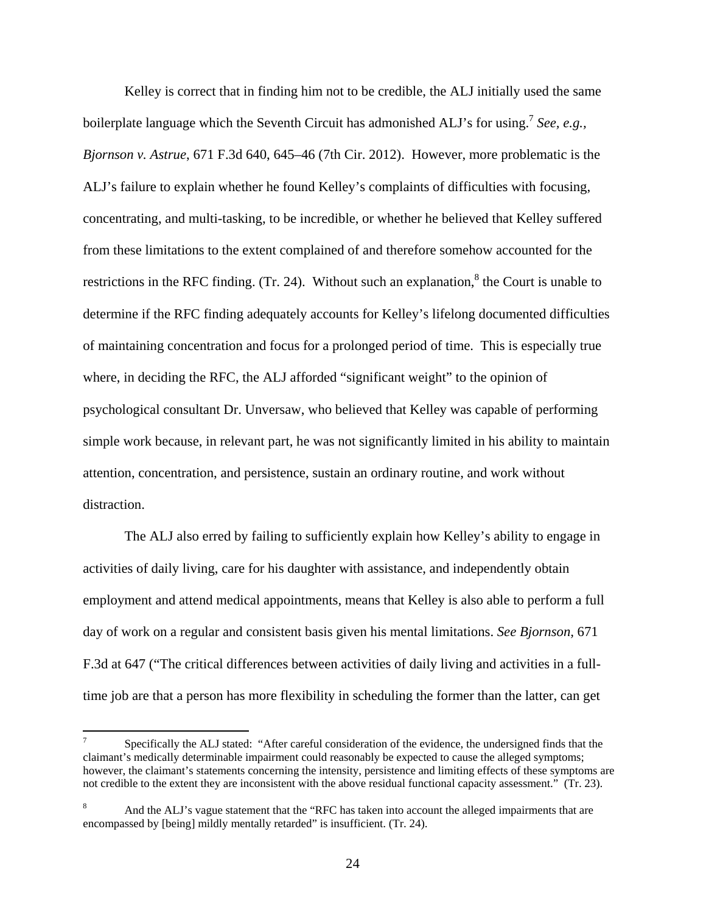Kelley is correct that in finding him not to be credible, the ALJ initially used the same boilerplate language which the Seventh Circuit has admonished ALJ's for using.<sup>7</sup> See, e.g., *Bjornson v. Astrue*, 671 F.3d 640, 645–46 (7th Cir. 2012). However, more problematic is the ALJ's failure to explain whether he found Kelley's complaints of difficulties with focusing, concentrating, and multi-tasking, to be incredible, or whether he believed that Kelley suffered from these limitations to the extent complained of and therefore somehow accounted for the restrictions in the RFC finding. (Tr. 24). Without such an explanation, $\delta$  the Court is unable to determine if the RFC finding adequately accounts for Kelley's lifelong documented difficulties of maintaining concentration and focus for a prolonged period of time. This is especially true where, in deciding the RFC, the ALJ afforded "significant weight" to the opinion of psychological consultant Dr. Unversaw, who believed that Kelley was capable of performing simple work because, in relevant part, he was not significantly limited in his ability to maintain attention, concentration, and persistence, sustain an ordinary routine, and work without distraction.

 The ALJ also erred by failing to sufficiently explain how Kelley's ability to engage in activities of daily living, care for his daughter with assistance, and independently obtain employment and attend medical appointments, means that Kelley is also able to perform a full day of work on a regular and consistent basis given his mental limitations. *See Bjornson,* 671 F.3d at 647 ("The critical differences between activities of daily living and activities in a fulltime job are that a person has more flexibility in scheduling the former than the latter, can get

 $\frac{1}{2}$ 7 Specifically the ALJ stated: "After careful consideration of the evidence, the undersigned finds that the claimant's medically determinable impairment could reasonably be expected to cause the alleged symptoms; however, the claimant's statements concerning the intensity, persistence and limiting effects of these symptoms are not credible to the extent they are inconsistent with the above residual functional capacity assessment." (Tr. 23).

<sup>8</sup> And the ALJ's vague statement that the "RFC has taken into account the alleged impairments that are encompassed by [being] mildly mentally retarded" is insufficient. (Tr. 24).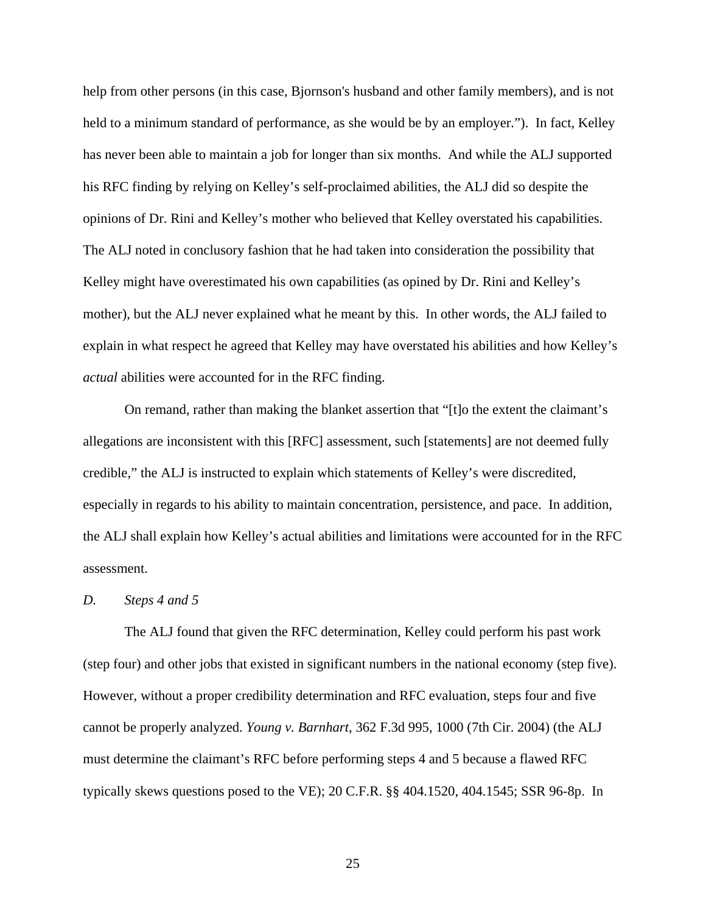help from other persons (in this case, Bjornson's husband and other family members), and is not held to a minimum standard of performance, as she would be by an employer."). In fact, Kelley has never been able to maintain a job for longer than six months. And while the ALJ supported his RFC finding by relying on Kelley's self-proclaimed abilities, the ALJ did so despite the opinions of Dr. Rini and Kelley's mother who believed that Kelley overstated his capabilities. The ALJ noted in conclusory fashion that he had taken into consideration the possibility that Kelley might have overestimated his own capabilities (as opined by Dr. Rini and Kelley's mother), but the ALJ never explained what he meant by this. In other words, the ALJ failed to explain in what respect he agreed that Kelley may have overstated his abilities and how Kelley's *actual* abilities were accounted for in the RFC finding.

 On remand, rather than making the blanket assertion that "[t]o the extent the claimant's allegations are inconsistent with this [RFC] assessment, such [statements] are not deemed fully credible," the ALJ is instructed to explain which statements of Kelley's were discredited, especially in regards to his ability to maintain concentration, persistence, and pace. In addition, the ALJ shall explain how Kelley's actual abilities and limitations were accounted for in the RFC assessment.

#### *D. Steps 4 and 5*

 The ALJ found that given the RFC determination, Kelley could perform his past work (step four) and other jobs that existed in significant numbers in the national economy (step five). However, without a proper credibility determination and RFC evaluation, steps four and five cannot be properly analyzed. *Young v. Barnhart*, 362 F.3d 995, 1000 (7th Cir. 2004) (the ALJ must determine the claimant's RFC before performing steps 4 and 5 because a flawed RFC typically skews questions posed to the VE); 20 C.F.R. §§ 404.1520, 404.1545; SSR 96-8p. In